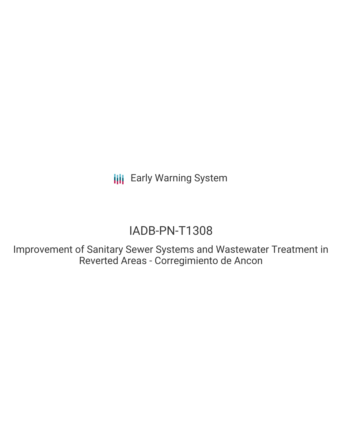**III** Early Warning System

## IADB-PN-T1308

Improvement of Sanitary Sewer Systems and Wastewater Treatment in Reverted Areas - Corregimiento de Ancon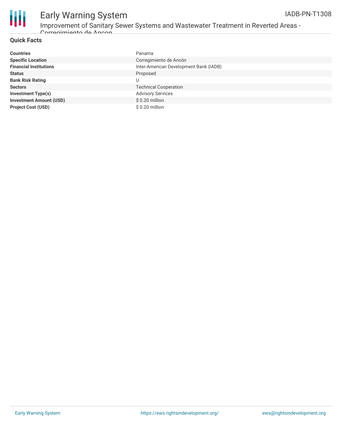

# Early Warning System

Improvement of Sanitary Sewer Systems and Wastewater Treatment in Reverted Areas -

**Quick Facts** Corregimiento de Ancon

| <b>Countries</b>               | Panama                                 |
|--------------------------------|----------------------------------------|
| <b>Specific Location</b>       | Corregimiento de Ancón                 |
| <b>Financial Institutions</b>  | Inter-American Development Bank (IADB) |
| <b>Status</b>                  | Proposed                               |
| <b>Bank Risk Rating</b>        | U                                      |
| <b>Sectors</b>                 | <b>Technical Cooperation</b>           |
| <b>Investment Type(s)</b>      | <b>Advisory Services</b>               |
| <b>Investment Amount (USD)</b> | $$0.20$ million                        |
| <b>Project Cost (USD)</b>      | \$ 0.20 million                        |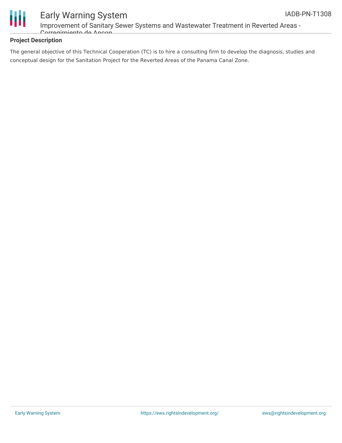

### Early Warning System Improvement of Sanitary Sewer Systems and Wastewater Treatment in Reverted Areas - Corregimiento de Ancon

#### **Project Description**

The general objective of this Technical Cooperation (TC) is to hire a consulting firm to develop the diagnosis, studies and conceptual design for the Sanitation Project for the Reverted Areas of the Panama Canal Zone.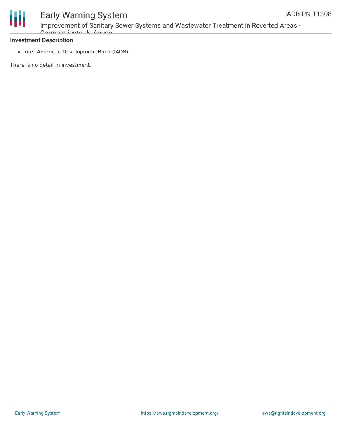

## Early Warning System

Improvement of Sanitary Sewer Systems and Wastewater Treatment in Reverted Areas - Corregimiento de Ancon

#### **Investment Description**

• Inter-American Development Bank (IADB)

There is no detail in investment.